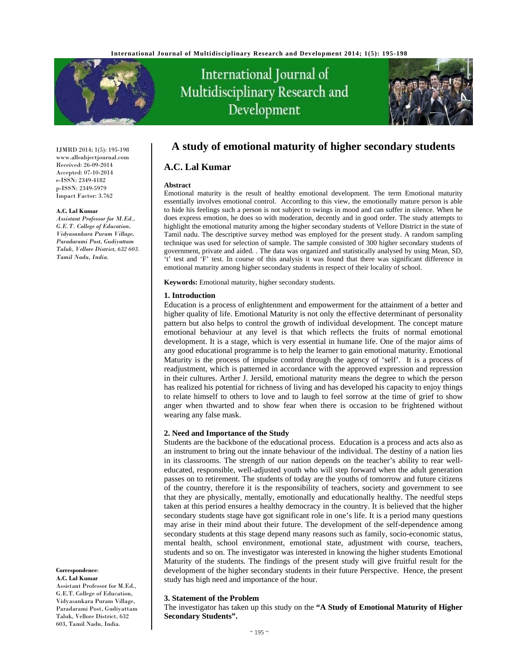

# International Journal of Multidisciplinary Research and Development



IJMRD 2014; 1(5): 195-198 www.allsubjectjournal.com Received: 26-09-2014 Accepted: 07-10-2014 e-ISSN: 2349-4182 p-ISSN: 2349-5979 Impact Factor: 3.762

#### **A.C. Lal Kumar**

*Assistant Professor for M.Ed., G.E.T. College of Education, Vidyasankara Puram Village, Paradarami Post, Gudiyattam Taluk, Vellore District, 632 603. Tamil Nadu, India.* 

#### **Correspondence**: **A.C. Lal Kumar**

Assistant Professor for M.Ed., G.E.T. College of Education, Vidyasankara Puram Village, Paradarami Post, Gudiyattam Taluk, Vellore District, 632 603, Tamil Nadu, India.

# **A study of emotional maturity of higher secondary students**

# **A.C. Lal Kumar**

#### **Abstract**

Emotional maturity is the result of healthy emotional development. The term Emotional maturity essentially involves emotional control. According to this view, the emotionally mature person is able to hide his feelings such a person is not subject to swings in mood and can suffer in silence. When he does express emotion, he does so with moderation, decently and in good order. The study attempts to highlight the emotional maturity among the higher secondary students of Vellore District in the state of Tamil nadu. The descriptive survey method was employed for the present study. A random sampling technique was used for selection of sample. The sample consisted of 300 higher secondary students of government, private and aided. . The data was organized and statistically analysed by using Mean, SD, 't' test and 'F' test. In course of this analysis it was found that there was significant difference in emotional maturity among higher secondary students in respect of their locality of school.

**Keywords:** Emotional maturity, higher secondary students.

#### **1. Introduction**

Education is a process of enlightenment and empowerment for the attainment of a better and higher quality of life. Emotional Maturity is not only the effective determinant of personality pattern but also helps to control the growth of individual development. The concept mature emotional behaviour at any level is that which reflects the fruits of normal emotional development. It is a stage, which is very essential in humane life. One of the major aims of any good educational programme is to help the learner to gain emotional maturity. Emotional Maturity is the process of impulse control through the agency of 'self'. It is a process of readjustment, which is patterned in accordance with the approved expression and repression in their cultures. Arther J. Jersild, emotional maturity means the degree to which the person has realized his potential for richness of living and has developed his capacity to enjoy things to relate himself to others to love and to laugh to feel sorrow at the time of grief to show anger when thwarted and to show fear when there is occasion to be frightened without wearing any false mask.

#### **2. Need and Importance of the Study**

Students are the backbone of the educational process. Education is a process and acts also as an instrument to bring out the innate behaviour of the individual. The destiny of a nation lies in its classrooms. The strength of our nation depends on the teacher's ability to rear welleducated, responsible, well-adjusted youth who will step forward when the adult generation passes on to retirement. The students of today are the youths of tomorrow and future citizens of the country, therefore it is the responsibility of teachers, society and government to see that they are physically, mentally, emotionally and educationally healthy. The needful steps taken at this period ensures a healthy democracy in the country. It is believed that the higher secondary students stage have got significant role in one's life. It is a period many questions may arise in their mind about their future. The development of the self-dependence among secondary students at this stage depend many reasons such as family, socio-economic status, mental health, school environment, emotional state, adjustment with course, teachers, students and so on. The investigator was interested in knowing the higher students Emotional Maturity of the students. The findings of the present study will give fruitful result for the development of the higher secondary students in their future Perspective. Hence, the present study has high need and importance of the hour.

#### **3. Statement of the Problem**

The investigator has taken up this study on the **"A Study of Emotional Maturity of Higher Secondary Students".**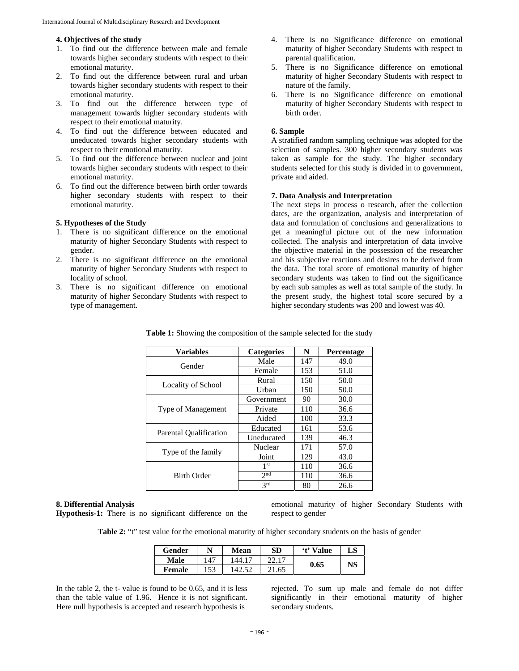#### **4. Objectives of the study**

- 1. To find out the difference between male and female towards higher secondary students with respect to their emotional maturity.
- 2. To find out the difference between rural and urban towards higher secondary students with respect to their emotional maturity.
- 3. To find out the difference between type of management towards higher secondary students with respect to their emotional maturity.
- 4. To find out the difference between educated and uneducated towards higher secondary students with respect to their emotional maturity.
- 5. To find out the difference between nuclear and joint towards higher secondary students with respect to their emotional maturity.
- 6. To find out the difference between birth order towards higher secondary students with respect to their emotional maturity.

#### **5. Hypotheses of the Study**

- 1. There is no significant difference on the emotional maturity of higher Secondary Students with respect to gender.
- 2. There is no significant difference on the emotional maturity of higher Secondary Students with respect to locality of school.
- 3. There is no significant difference on emotional maturity of higher Secondary Students with respect to type of management.
- 4. There is no Significance difference on emotional maturity of higher Secondary Students with respect to parental qualification.
- 5. There is no Significance difference on emotional maturity of higher Secondary Students with respect to nature of the family.
- 6. There is no Significance difference on emotional maturity of higher Secondary Students with respect to birth order.

# **6. Sample**

A stratified random sampling technique was adopted for the selection of samples. 300 higher secondary students was taken as sample for the study. The higher secondary students selected for this study is divided in to government, private and aided.

#### **7. Data Analysis and Interpretation**

The next steps in process o research, after the collection dates, are the organization, analysis and interpretation of data and formulation of conclusions and generalizations to get a meaningful picture out of the new information collected. The analysis and interpretation of data involve the objective material in the possession of the researcher and his subjective reactions and desires to be derived from the data. The total score of emotional maturity of higher secondary students was taken to find out the significance by each sub samples as well as total sample of the study. In the present study, the highest total score secured by a higher secondary students was 200 and lowest was 40.

| <b>Variables</b>       | <b>Categories</b> | N   | Percentage |
|------------------------|-------------------|-----|------------|
| Gender                 | Male              | 147 | 49.0       |
|                        | Female            | 153 | 51.0       |
|                        | Rural             | 150 | 50.0       |
| Locality of School     | Urban             | 150 | 50.0       |
|                        | Government        | 90  | 30.0       |
| Type of Management     | Private           | 110 | 36.6       |
|                        | Aided             | 100 | 33.3       |
|                        | Educated          | 161 | 53.6       |
| Parental Qualification | Uneducated        | 139 | 46.3       |
|                        | <b>Nuclear</b>    | 171 | 57.0       |
| Type of the family     | Joint             | 129 | 43.0       |
| <b>Birth Order</b>     | 1 <sup>st</sup>   | 110 | 36.6       |
|                        | 2 <sub>nd</sub>   | 110 | 36.6       |
|                        | 2rd               | 80  | 26.6       |

**Table 1:** Showing the composition of the sample selected for the study

#### **8. Differential Analysis**

**Hypothesis-1:** There is no significant difference on the

emotional maturity of higher Secondary Students with respect to gender

**Table 2:** "t" test value for the emotional maturity of higher secondary students on the basis of gender

| Gender | N   | <b>Mean</b> | <b>SD</b> | 't' Value | LS |
|--------|-----|-------------|-----------|-----------|----|
| Male   | 147 | 44.1        | רי        |           |    |
| Female | 153 |             | .65       | 0.65      | NS |

In the table 2, the t- value is found to be 0.65, and it is less than the table value of 1.96. Hence it is not significant. Here null hypothesis is accepted and research hypothesis is

rejected. To sum up male and female do not differ significantly in their emotional maturity of higher secondary students.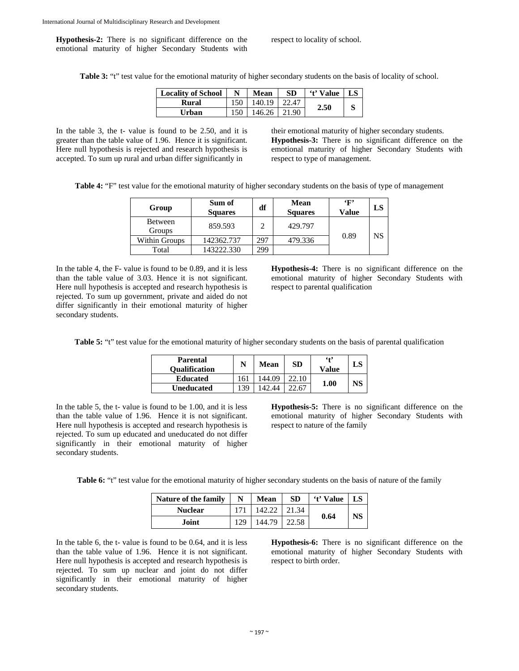**Hypothesis-2:** There is no significant difference on the emotional maturity of higher Secondary Students with respect to locality of school.

**Table 3:** "t" test value for the emotional maturity of higher secondary students on the basis of locality of school.

| <b>Locality of School</b> | N   | Mean   | SD.   | <i>'t'</i> Value | LS |
|---------------------------|-----|--------|-------|------------------|----|
| Rural                     | 150 | 140.19 | 22.47 |                  |    |
| Urban                     | 150 | 146.26 | 21.90 | 2.50             |    |

In the table 3, the t- value is found to be 2.50, and it is greater than the table value of 1.96. Hence it is significant. Here null hypothesis is rejected and research hypothesis is accepted. To sum up rural and urban differ significantly in

their emotional maturity of higher secondary students. **Hypothesis-3:** There is no significant difference on the emotional maturity of higher Secondary Students with respect to type of management.

**Table 4:** "F" test value for the emotional maturity of higher secondary students on the basis of type of management

| Group             | Sum of<br><b>Squares</b> | df  | Mean<br><b>Squares</b> | $\cdot_F$<br>Value | LS |
|-------------------|--------------------------|-----|------------------------|--------------------|----|
| Between<br>Groups | 859.593                  | っ   | 429.797                |                    |    |
| Within Groups     | 142362.737               | 297 | 479.336                | 0.89               | NS |
| Total             | 143222.330               | 299 |                        |                    |    |

In the table 4, the F- value is found to be 0.89, and it is less than the table value of 3.03. Hence it is not significant. Here null hypothesis is accepted and research hypothesis is rejected. To sum up government, private and aided do not differ significantly in their emotional maturity of higher secondary students.

**Hypothesis-4:** There is no significant difference on the emotional maturity of higher Secondary Students with respect to parental qualification

**Table 5:** "t" test value for the emotional maturity of higher secondary students on the basis of parental qualification

| <b>Parental</b><br><b>Oualification</b> |    | Mean | <b>SD</b> | 642<br>Value | LS |
|-----------------------------------------|----|------|-----------|--------------|----|
| <b>Educated</b>                         | 61 |      |           | 1.00         |    |
| <b>Uneducated</b>                       | 39 |      |           |              |    |

In the table 5, the t- value is found to be 1.00, and it is less than the table value of 1.96. Hence it is not significant. Here null hypothesis is accepted and research hypothesis is rejected. To sum up educated and uneducated do not differ significantly in their emotional maturity of higher secondary students.

**Hypothesis-5:** There is no significant difference on the emotional maturity of higher Secondary Students with respect to nature of the family

**Table 6:** "t" test value for the emotional maturity of higher secondary students on the basis of nature of the family

| <b>Nature of the family</b> | N   | <b>Mean</b> | <b>SD</b> | 't' Value | LS |
|-----------------------------|-----|-------------|-----------|-----------|----|
| <b>Nuclear</b>              |     |             |           |           | NS |
| Joint                       | 129 | 44.79       |           | 0.64      |    |

In the table 6, the t- value is found to be 0.64, and it is less than the table value of 1.96. Hence it is not significant. Here null hypothesis is accepted and research hypothesis is rejected. To sum up nuclear and joint do not differ significantly in their emotional maturity of higher secondary students.

**Hypothesis-6:** There is no significant difference on the emotional maturity of higher Secondary Students with respect to birth order.